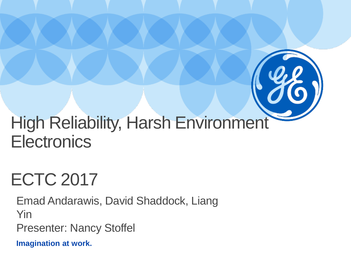

# ECTC 2017

Emad Andarawis, David Shaddock, Liang Yin

Presenter: Nancy Stoffel

**Imagination at work.**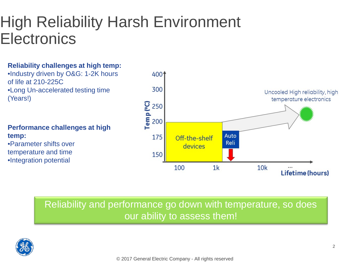#### High Reliability Harsh Environment **Electronics**

#### **Reliability challenges at high temp:**

•Industry driven by O&G: 1-2K hours of life at 210-225C •Long Un-accelerated testing time (Years!)

**Performance challenges at high temp:** •Parameter shifts over temperature and time •Integration potential



#### Reliability and performance go down with temperature, so does our ability to assess them!

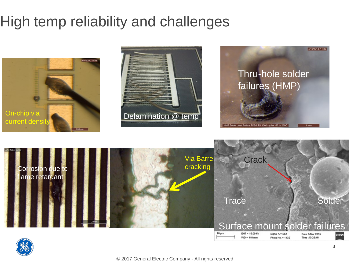#### High temp reliability and challenges



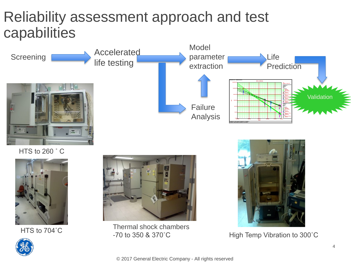#### Reliability assessment approach and test capabilities







Thermal shock chambers HTS to 704°C<br>
-70 to 350 & 370°C<br>
High Temp Vibration to 300°C

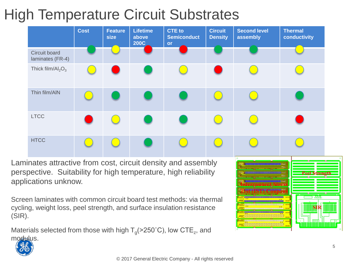### High Temperature Circuit Substrates



Laminates attractive from cost, circuit density and assembly perspective. Suitability for high temperature, high reliability applications unknow.

Screen laminates with common circuit board test methods: via thermal cycling, weight loss, peel strength, and surface insulation resistance (SIR).

Materials selected from those with high  $T<sub>g</sub>(>250°C)$ , low CTE<sub>z</sub>, and modulus.



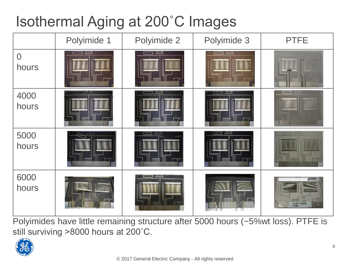#### Isothermal Aging at 200˚C Images

|                         | Polyimide 1        | Polyimide 2                                                                | Polyimide 3    | <b>PTFE</b>              |
|-------------------------|--------------------|----------------------------------------------------------------------------|----------------|--------------------------|
| $\overline{0}$<br>hours | $-$                | $\frac{1}{2}$ and $\frac{1}{2}$<br>-----------                             | $\Box$ . where | mm                       |
| 4000<br>hours           | $-10000$           |                                                                            | <b>Primer</b>  | $\sim$                   |
| 5000<br>hours           | ,,,,,,,,,,,,,,,,,, | $\frac{1}{\sqrt{2}}\frac{1}{\sqrt{2}}\frac{1}{\sqrt{2}}\frac{1}{\sqrt{2}}$ | $-0.00000$     | $\overline{\phantom{a}}$ |
| 6000<br>hours           |                    | <b>Williams</b>                                                            |                | PTFI<br><b>ENGINEER</b>  |

Polyimides have little remaining structure after 5000 hours (~5%wt loss). PTFE is still surviving >8000 hours at 200˚C.

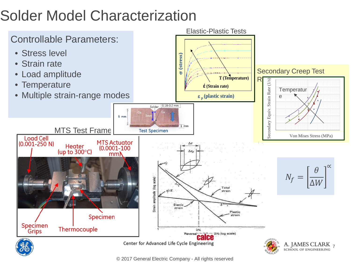## Solder Model Characterization



© 2017 General Electric Company - All rights reserved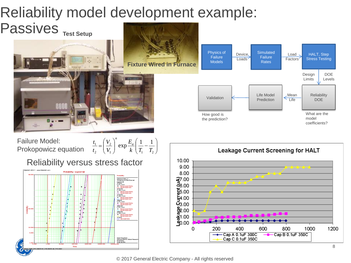### Reliability model development example:



© 2017 General Electric Company - All rights reserved

Std=0.3589; B=3.3687E+4; C=6.9597E-16; n=3.9307